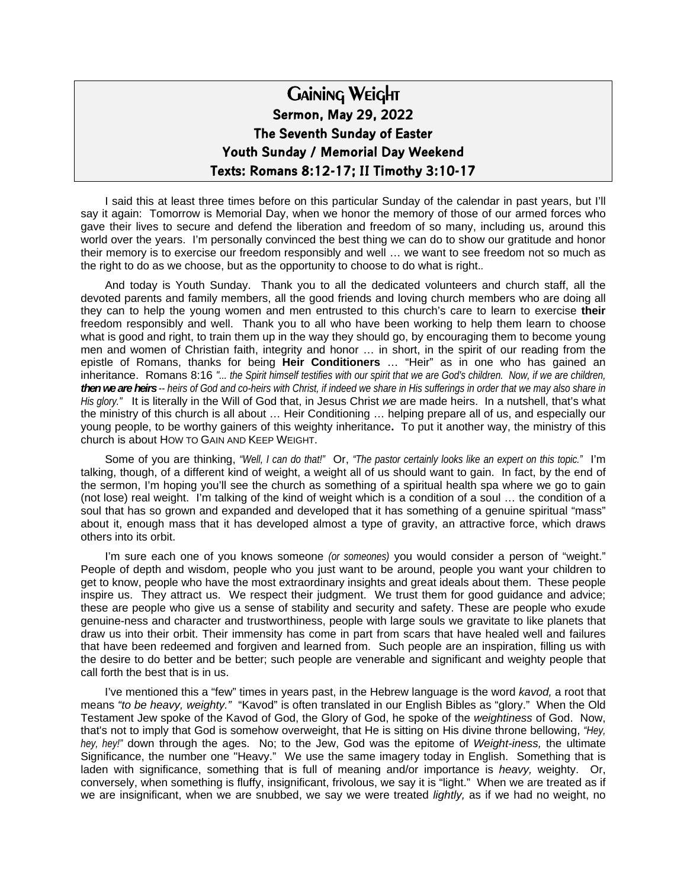## Gaining Weight **Sermon, May 29, 2022 The Seventh Sunday of Easter Youth Sunday / Memorial Day Weekend Texts: Romans 8:12-17; II Timothy 3:10-17**

I said this at least three times before on this particular Sunday of the calendar in past years, but I'll say it again: Tomorrow is Memorial Day, when we honor the memory of those of our armed forces who gave their lives to secure and defend the liberation and freedom of so many, including us, around this world over the years. I'm personally convinced the best thing we can do to show our gratitude and honor their memory is to exercise our freedom responsibly and well … we want to see freedom not so much as the right to do as we choose, but as the opportunity to choose to do what is right.*.* 

And today is Youth Sunday. Thank you to all the dedicated volunteers and church staff, all the devoted parents and family members, all the good friends and loving church members who are doing all they can to help the young women and men entrusted to this church's care to learn to exercise **their** freedom responsibly and well. Thank you to all who have been working to help them learn to choose what is good and right, to train them up in the way they should go, by encouraging them to become young men and women of Christian faith, integrity and honor … in short, in the spirit of our reading from the epistle of Romans, thanks for being **Heir Conditioners** … "Heir" as in one who has gained an inheritance. Romans 8:16 *"... the Spirit himself testifies with our spirit that we are God's children. Now, if we are children, then we are heirs -- heirs of God and co-heirs with Christ, if indeed we share in His sufferings in order that we may also share in His glory."* It is literally in the Will of God that, in Jesus Christ *we* are made heirs. In a nutshell, that's what the ministry of this church is all about … Heir Conditioning … helping prepare all of us, and especially our young people, to be worthy gainers of this weighty inheritance**.** To put it another way, the ministry of this church is about HOW TO GAIN AND KEEP WEIGHT.

Some of you are thinking, *"Well, I can do that!"* Or, *"The pastor certainly looks like an expert on this topic."* I'm talking, though, of a different kind of weight, a weight all of us should want to gain. In fact, by the end of the sermon, I'm hoping you'll see the church as something of a spiritual health spa where we go to gain (not lose) real weight. I'm talking of the kind of weight which is a condition of a soul … the condition of a soul that has so grown and expanded and developed that it has something of a genuine spiritual "mass" about it, enough mass that it has developed almost a type of gravity, an attractive force, which draws others into its orbit.

I'm sure each one of you knows someone *(or someones)* you would consider a person of "weight." People of depth and wisdom, people who you just want to be around, people you want your children to get to know, people who have the most extraordinary insights and great ideals about them. These people inspire us. They attract us. We respect their judgment. We trust them for good guidance and advice; these are people who give us a sense of stability and security and safety. These are people who exude genuine-ness and character and trustworthiness, people with large souls we gravitate to like planets that draw us into their orbit. Their immensity has come in part from scars that have healed well and failures that have been redeemed and forgiven and learned from. Such people are an inspiration, filling us with the desire to do better and be better; such people are venerable and significant and weighty people that call forth the best that is in us.

I've mentioned this a "few" times in years past, in the Hebrew language is the word *kavod,* a root that means *"to be heavy, weighty."* "Kavod" is often translated in our English Bibles as "glory." When the Old Testament Jew spoke of the Kavod of God, the Glory of God, he spoke of the *weightiness* of God. Now, that's not to imply that God is somehow overweight, that He is sitting on His divine throne bellowing, *"Hey, hey, hey!"* down through the ages. No; to the Jew, God was the epitome of *Weight-iness,* the ultimate Significance, the number one "Heavy." We use the same imagery today in English. Something that is laden with significance, something that is full of meaning and/or importance is *heavy,* weighty. Or, conversely, when something is fluffy, insignificant, frivolous, we say it is "light." When we are treated as if we are insignificant, when we are snubbed, we say we were treated *lightly,* as if we had no weight, no